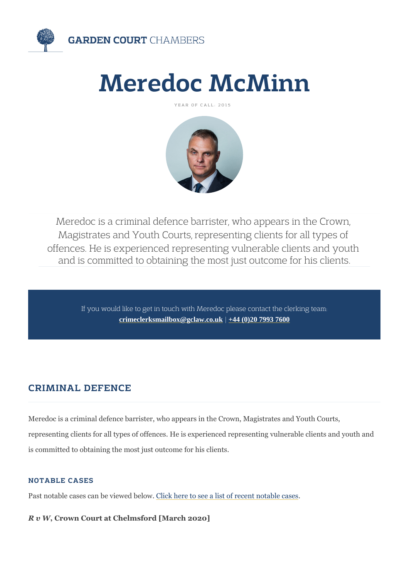# Meredoc McMinn

YEAR OF CALL: 2015

Meredoc is a criminal defence barrister, who ap Magistrates and Youth Courts, representing clie offences. He is experienced representing vulnera and is committed to obtaining the most just out

If you would like to get in touch with Meredoc please cont [crimeclerksmailbox@gclaw.co.uk](mailto:crimeclerksmailbox@gclaw.co.uk)[|+44 \(0\)20 7993 760](tel:+44 (0)20 7993 7600)0

# CRIMINAL DEFENCE

Meredoc is a criminal defence barrister, who appears in the Crown, Magistrates and Youth Courts, and Youth Courts, representing clients for all types of offences. He is experienced represen is committed to obtaining the most just outcome for his clients.

#### NOTABLE CASES

Past notable cases can belivie wheed ebelowee a list of recent notable cases

R v WCrown Court at Chelmsford [March 2020]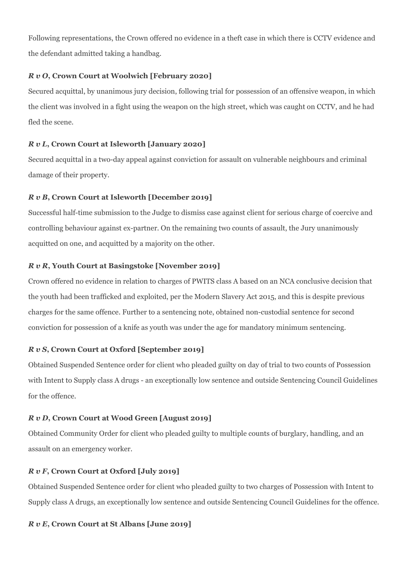Following representations, the Crown offered no evidence in a theft case in which there is CCTV evidence and the defendant admitted taking a handbag.

#### *R v O***, Crown Court at Woolwich [February 2020]**

Secured acquittal, by unanimous jury decision, following trial for possession of an offensive weapon, in which the client was involved in a fight using the weapon on the high street, which was caught on CCTV, and he had fled the scene.

#### *R v L***, Crown Court at Isleworth [January 2020]**

Secured acquittal in a two-day appeal against conviction for assault on vulnerable neighbours and criminal damage of their property.

#### *R v B***, Crown Court at Isleworth [December 2019]**

Successful half-time submission to the Judge to dismiss case against client for serious charge of coercive and controlling behaviour against ex-partner. On the remaining two counts of assault, the Jury unanimously acquitted on one, and acquitted by a majority on the other.

#### *R v R***, Youth Court at Basingstoke [November 2019]**

Crown offered no evidence in relation to charges of PWITS class A based on an NCA conclusive decision that the youth had been trafficked and exploited, per the Modern Slavery Act 2015, and this is despite previous charges for the same offence. Further to a sentencing note, obtained non-custodial sentence for second conviction for possession of a knife as youth was under the age for mandatory minimum sentencing.

#### *R v S***, Crown Court at Oxford [September 2019]**

Obtained Suspended Sentence order for client who pleaded guilty on day of trial to two counts of Possession with Intent to Supply class A drugs - an exceptionally low sentence and outside Sentencing Council Guidelines for the offence.

#### *R v D***, Crown Court at Wood Green [August 2019]**

Obtained Community Order for client who pleaded guilty to multiple counts of burglary, handling, and an assault on an emergency worker.

#### *R v F***, Crown Court at Oxford [July 2019]**

Obtained Suspended Sentence order for client who pleaded guilty to two charges of Possession with Intent to Supply class A drugs, an exceptionally low sentence and outside Sentencing Council Guidelines for the offence.

#### *R v E***, Crown Court at St Albans [June 2019]**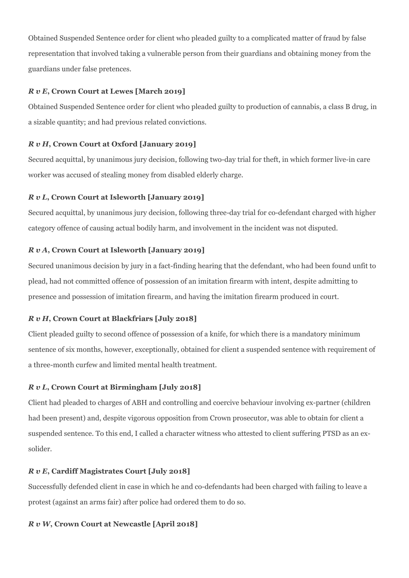Obtained Suspended Sentence order for client who pleaded guilty to a complicated matter of fraud by false representation that involved taking a vulnerable person from their guardians and obtaining money from the guardians under false pretences.

#### *R v E***, Crown Court at Lewes [March 2019]**

Obtained Suspended Sentence order for client who pleaded guilty to production of cannabis, a class B drug, in a sizable quantity; and had previous related convictions.

#### *R v H***, Crown Court at Oxford [January 2019]**

Secured acquittal, by unanimous jury decision, following two-day trial for theft, in which former live-in care worker was accused of stealing money from disabled elderly charge.

#### *R v L***, Crown Court at Isleworth [January 2019]**

Secured acquittal, by unanimous jury decision, following three-day trial for co-defendant charged with higher category offence of causing actual bodily harm, and involvement in the incident was not disputed.

#### *R v A***, Crown Court at Isleworth [January 2019]**

Secured unanimous decision by jury in a fact-finding hearing that the defendant, who had been found unfit to plead, had not committed offence of possession of an imitation firearm with intent, despite admitting to presence and possession of imitation firearm, and having the imitation firearm produced in court.

#### *R v H***, Crown Court at Blackfriars [July 2018]**

Client pleaded guilty to second offence of possession of a knife, for which there is a mandatory minimum sentence of six months, however, exceptionally, obtained for client a suspended sentence with requirement of a three-month curfew and limited mental health treatment.

#### *R v L***, Crown Court at Birmingham [July 2018]**

Client had pleaded to charges of ABH and controlling and coercive behaviour involving ex-partner (children had been present) and, despite vigorous opposition from Crown prosecutor, was able to obtain for client a suspended sentence. To this end, I called a character witness who attested to client suffering PTSD as an exsolider.

#### *R v E***, Cardiff Magistrates Court [July 2018]**

Successfully defended client in case in which he and co-defendants had been charged with failing to leave a protest (against an arms fair) after police had ordered them to do so.

#### *R v W***, Crown Court at Newcastle [April 2018]**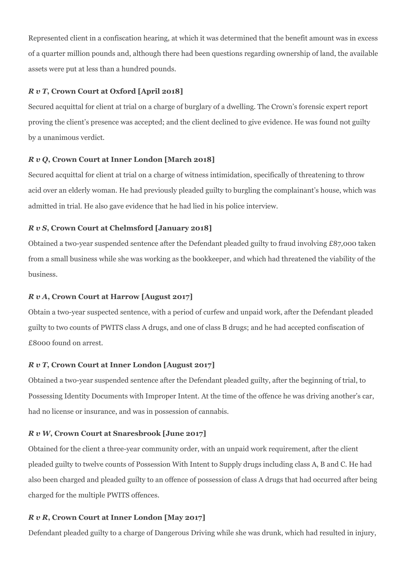Represented client in a confiscation hearing, at which it was determined that the benefit amount was in excess of a quarter million pounds and, although there had been questions regarding ownership of land, the available assets were put at less than a hundred pounds.

#### *R v T***, Crown Court at Oxford [April 2018]**

Secured acquittal for client at trial on a charge of burglary of a dwelling. The Crown's forensic expert report proving the client's presence was accepted; and the client declined to give evidence. He was found not guilty by a unanimous verdict.

#### *R v Q***, Crown Court at Inner London [March 2018]**

Secured acquittal for client at trial on a charge of witness intimidation, specifically of threatening to throw acid over an elderly woman. He had previously pleaded guilty to burgling the complainant's house, which was admitted in trial. He also gave evidence that he had lied in his police interview.

#### *R v S***, Crown Court at Chelmsford [January 2018]**

Obtained a two-year suspended sentence after the Defendant pleaded guilty to fraud involving £87,000 taken from a small business while she was working as the bookkeeper, and which had threatened the viability of the business.

#### *R v A***, Crown Court at Harrow [August 2017]**

Obtain a two-year suspected sentence, with a period of curfew and unpaid work, after the Defendant pleaded guilty to two counts of PWITS class A drugs, and one of class B drugs; and he had accepted confiscation of £8000 found on arrest.

#### *R v T***, Crown Court at Inner London [August 2017]**

Obtained a two-year suspended sentence after the Defendant pleaded guilty, after the beginning of trial, to Possessing Identity Documents with Improper Intent. At the time of the offence he was driving another's car, had no license or insurance, and was in possession of cannabis.

#### *R v W***, Crown Court at Snaresbrook [June 2017]**

Obtained for the client a three-year community order, with an unpaid work requirement, after the client pleaded guilty to twelve counts of Possession With Intent to Supply drugs including class A, B and C. He had also been charged and pleaded guilty to an offence of possession of class A drugs that had occurred after being charged for the multiple PWITS offences.

#### *R v R***, Crown Court at Inner London [May 2017]**

Defendant pleaded guilty to a charge of Dangerous Driving while she was drunk, which had resulted in injury,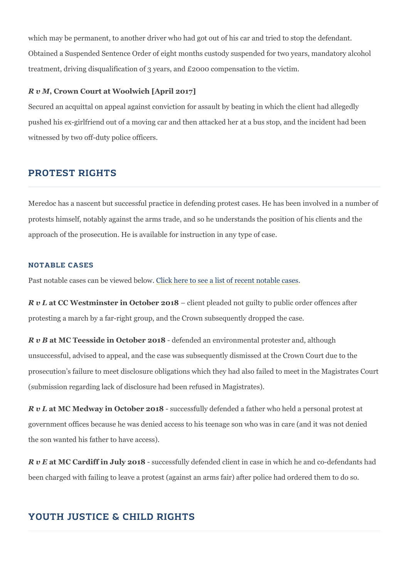which may be permanent, to another driver who had got out of his car and Obtained a Suspended Sentence Order of eight months custody suspended treatment, driving disqualification of 3 years, and  $£2000$  compensation to

R v MCrown Court at Woolwich [April 2017]

Secured an acquittal on appeal against conviction for assault by beating pushed his ex-girlfriend out of a moving car and then attacked her at a bu witnessed by two off-duty police officers.

## PROTEST RIGHTS

Meredoc has a nascent but successful practice in defending protest cases protests himself, notably against the arms trade, and so he understands t approach of the prosecution. He is available for instruction in any type of

#### NOTABLE CASES

Past notable cases can b@livike wheed eb edoswee a list of recent notable cases

R v lat CC Westminster in Octobeire 201p and pot guilty to public order of protesting a march by a far-right group, and the Crown subsequently drop

R v Bat MC Teesside in Octo-belef 2e0n1d&ed an environmental protester and, although unsuccessful, advised to appeal, and the case was subsequently dismisse prosecution s failure to meet disclosure obligations which they had also f (submission regarding lack of disclosure had been refused in Magistrates).

R v lat MC Medway in Octobes 1200c1e8s sfully defended a father who held a pe government offices because he was denied access to his teenage son who the son wanted his father to have access).

R v Eat MC Cardiff in Julys20 t8ssfully defended client in case in which he been charged with failing to leave a protest (against an arms fair) after p

# YOUTH JUSTICE & CHILD RIGHTS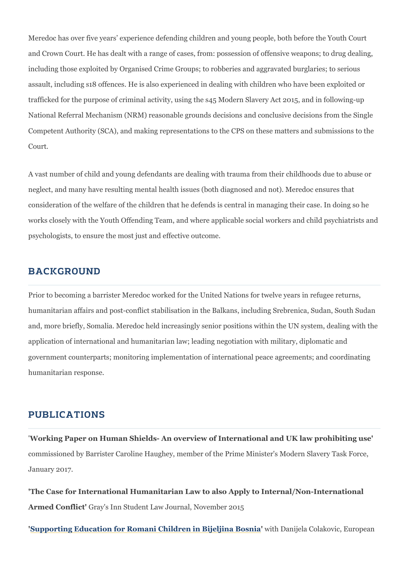Meredoc has over five years experience defending children and young pe and Crown Court. He has dealt with a range of cases, from: possession of including those exploited by Organised Crime Groups; to robberies and ag assault, including s18 offences. He is also experienced in dealing with ch trafficked for the purpose of criminal activity, using the s45 Modern Slave National Referral Mechanism (NRM) reasonable grounds decisions and cor Competent Authority (SCA), and making representations to the CPS on the Court.

A vast number of child and young defendants are dealing with trauma from neglect, and many have resulting mental health issues (both diagnosed ard not). Meredocal not consideration of the welfare of the children that he defends is central in works closely with the Youth Offending Team, and where applicable socia psychologists, to ensure the most just and effective outcome.

## BACKGROUND

Prior to becoming a barrister Meredoc worked for the United Nations for t humanitarian affairs and post-conflict stabilisation in the Balkans, includ and, more briefly, Somalia. Meredoc held increasingly senior positions wi application of international and humanitarian law; leading negotiation wit government counterparts; monitoring implementation of international peac humanitarian response.

## PUBLICATIONS

'Working Paper on Human Shields- An overview of International and UK la commissioned by Barrister Caroline Haughey, member of the Prime Minister January 2017.

'The Case for International Humanitarian Law to also Apply to Internal/No Armed Confl Gtay's Inn Student Law Journal, November 2015

['Supporting Education for Romani Children in](http://www.errc.org/article/supporting-education-for-romani-children-in-bijeljinabosnia/2810) 'Bwith i Dhan Bjoes ai Colakovic, Eu